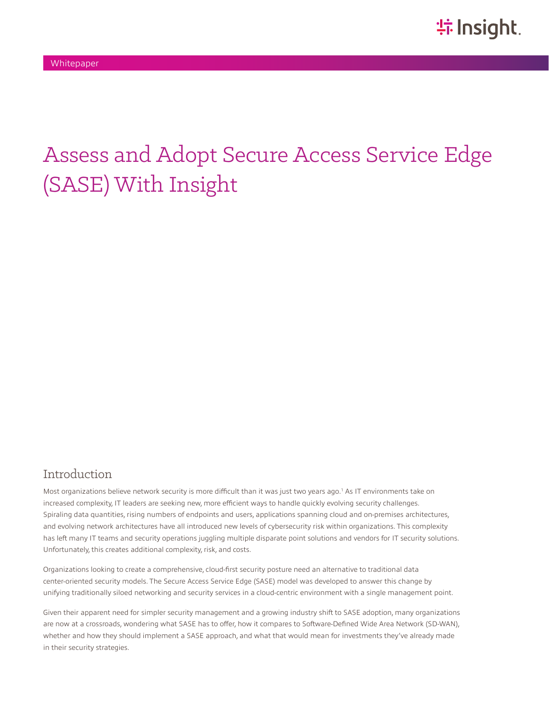# Assess and Adopt Secure Access Service Edge (SASE) With Insight

#### Introduction

Most organizations believe network security is more difficult than it was just two years ago.<sup>1</sup> As IT environments take on increased complexity, IT leaders are seeking new, more efficient ways to handle quickly evolving security challenges. Spiraling data quantities, rising numbers of endpoints and users, applications spanning cloud and on-premises architectures, and evolving network architectures have all introduced new levels of cybersecurity risk within organizations. This complexity has left many IT teams and security operations juggling multiple disparate point solutions and vendors for IT security solutions. Unfortunately, this creates additional complexity, risk, and costs.

Organizations looking to create a comprehensive, cloud-first security posture need an alternative to traditional data center-oriented security models. The Secure Access Service Edge (SASE) model was developed to answer this change by unifying traditionally siloed networking and security services in a cloud-centric environment with a single management point.

Given their apparent need for simpler security management and a growing industry shift to SASE adoption, many organizations are now at a crossroads, wondering what SASE has to offer, how it compares to Software-Defined Wide Area Network (SD-WAN), whether and how they should implement a SASE approach, and what that would mean for investments they've already made in their security strategies.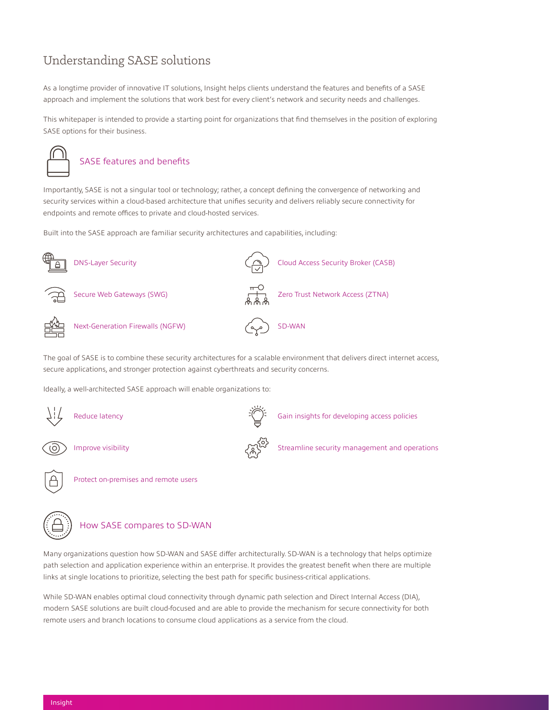## Understanding SASE solutions

As a longtime provider of innovative IT solutions, Insight helps clients understand the features and benefits of a SASE approach and implement the solutions that work best for every client's network and security needs and challenges.

This whitepaper is intended to provide a starting point for organizations that find themselves in the position of exploring SASE options for their business.



#### SASE features and benefits

Importantly, SASE is not a singular tool or technology; rather, a concept defining the convergence of networking and security services within a cloud-based architecture that unifies security and delivers reliably secure connectivity for endpoints and remote offices to private and cloud-hosted services.

Built into the SASE approach are familiar security architectures and capabilities, including:



The goal of SASE is to combine these security architectures for a scalable environment that delivers direct internet access, secure applications, and stronger protection against cyberthreats and security concerns.

Ideally, a well-architected SASE approach will enable organizations to:





#### How SASE compares to SD-WAN

Many organizations question how SD-WAN and SASE differ architecturally. SD-WAN is a technology that helps optimize path selection and application experience within an enterprise. It provides the greatest benefit when there are multiple links at single locations to prioritize, selecting the best path for specific business-critical applications.

While SD-WAN enables optimal cloud connectivity through dynamic path selection and Direct Internal Access (DIA), modern SASE solutions are built cloud-focused and are able to provide the mechanism for secure connectivity for both remote users and branch locations to consume cloud applications as a service from the cloud.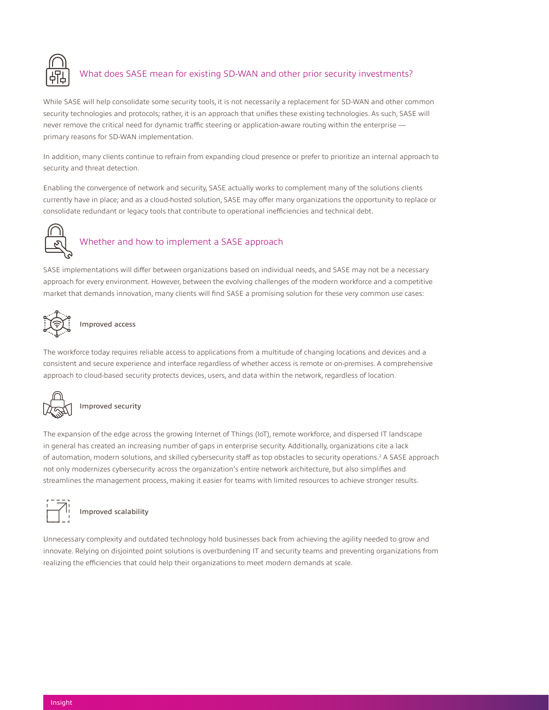

### What does SASE mean for existing SD-WAN and other prior security investments?

While SASE will help consolidate some security tools, it is not necessarily a replacement for SD-WAN and other common security technologies and protocols; rather, it is an approach that unifies these existing technologies. As such, SASE will never remove the critical need for dynamic traffic steering or application-aware routing within the enterprise primary reasons for SD-WAN implementation.

In addition, many clients continue to refrain from expanding cloud presence or prefer to prioritize an internal approach to security and threat detection.

Enabling the convergence of network and security, SASE actually works to complement many of the solutions clients currently have in place; and as a cloud-hosted solution, SASE may offer many organizations the opportunity to replace or consolidate redundant or legacy tools that contribute to operational inefficiencies and technical debt.



## Whether and how to implement a SASE approach

SASE implementations will differ between organizations based on individual needs, and SASE may not be a necessary approach for every environment. However, between the evolving challenges of the modern workforce and a competitive market that demands innovation, many clients will find SASE a promising solution for these very common use cases:



#### Improved access

The workforce today requires reliable access to applications from a multitude of changing locations and devices and a consistent and secure experience and interface regardless of whether access is remote or on-premises. A comprehensive approach to cloud-based security protects devices, users, and data within the network, regardless of location.



#### Improved security

The expansion of the edge across the growing Internet of Things (IoT), remote workforce, and dispersed IT landscape in general has created an increasing number of gaps in enterprise security. Additionally, organizations cite a lack of automation, modern solutions, and skilled cybersecurity staff as top obstacles to security operations.<sup>2</sup> A SASE approach not only modernizes cybersecurity across the organization's entire network architecture, but also simplifies and streamlines the management process, making it easier for teams with limited resources to achieve stronger results.



## Improved scalability

Unnecessary complexity and outdated technology hold businesses back from achieving the agility needed to grow and innovate. Relying on disjointed point solutions is overburdening IT and security teams and preventing organizations from realizing the efficiencies that could help their organizations to meet modern demands at scale.